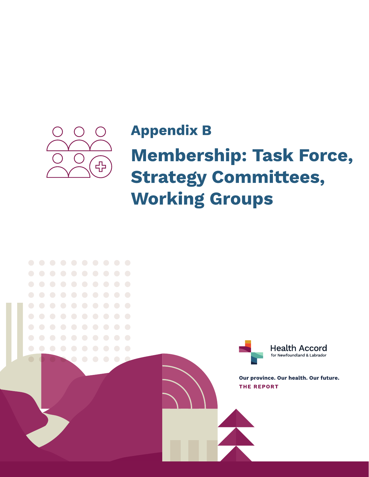

## **Appendix B**

# **Membership: Task Force, Strategy Committees, Working Groups**

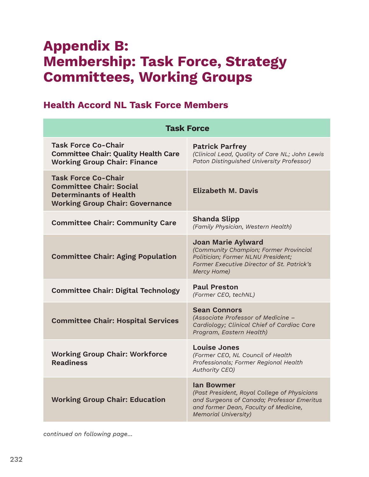## Appendix B: Membership: Task Force, Strategy Committees, Working Groups

### Health Accord NL Task Force Members

| <b>Task Force</b>                                                                                                                       |                                                                                                                                                                                         |
|-----------------------------------------------------------------------------------------------------------------------------------------|-----------------------------------------------------------------------------------------------------------------------------------------------------------------------------------------|
| <b>Task Force Co-Chair</b><br><b>Committee Chair: Quality Health Care</b><br><b>Working Group Chair: Finance</b>                        | <b>Patrick Parfrey</b><br>(Clinical Lead, Quality of Care NL; John Lewis<br>Paton Distinguished University Professor)                                                                   |
| <b>Task Force Co-Chair</b><br><b>Committee Chair: Social</b><br><b>Determinants of Health</b><br><b>Working Group Chair: Governance</b> | <b>Elizabeth M. Davis</b>                                                                                                                                                               |
| <b>Committee Chair: Community Care</b>                                                                                                  | <b>Shanda Slipp</b><br>(Family Physician, Western Health)                                                                                                                               |
| <b>Committee Chair: Aging Population</b>                                                                                                | <b>Joan Marie Aylward</b><br>(Community Champion; Former Provincial<br>Politician; Former NLNU President;<br>Former Executive Director of St. Patrick's<br>Mercy Home)                  |
| <b>Committee Chair: Digital Technology</b>                                                                                              | <b>Paul Preston</b><br>(Former CEO, techNL)                                                                                                                                             |
| <b>Committee Chair: Hospital Services</b>                                                                                               | <b>Sean Connors</b><br>(Associate Professor of Medicine -<br>Cardiology; Clinical Chief of Cardiac Care<br>Program, Eastern Health)                                                     |
| <b>Working Group Chair: Workforce</b><br><b>Readiness</b>                                                                               | <b>Louise Jones</b><br>(Former CEO, NL Council of Health<br>Professionals; Former Regional Health<br>Authority CEO)                                                                     |
| <b>Working Group Chair: Education</b>                                                                                                   | <b>lan Bowmer</b><br>(Past President, Royal College of Physicians<br>and Surgeons of Canada; Professor Emeritus<br>and former Dean, Faculty of Medicine,<br><b>Memorial University)</b> |

*continued on following page…*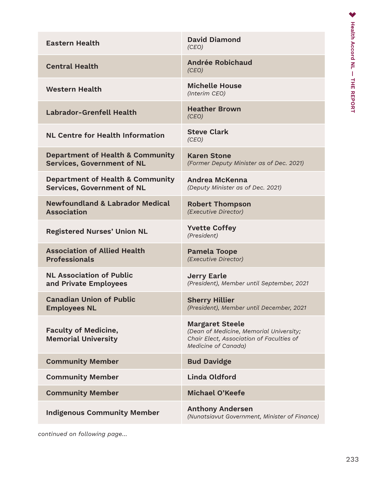| <b>Eastern Health</b>                                                            | <b>David Diamond</b><br>(CEO)                                                                                                               |
|----------------------------------------------------------------------------------|---------------------------------------------------------------------------------------------------------------------------------------------|
| <b>Central Health</b>                                                            | <b>Andrée Robichaud</b><br>(CEO)                                                                                                            |
| <b>Western Health</b>                                                            | <b>Michelle House</b><br>(Interim CEO)                                                                                                      |
| <b>Labrador-Grenfell Health</b>                                                  | <b>Heather Brown</b><br>(CEO)                                                                                                               |
| <b>NL Centre for Health Information</b>                                          | <b>Steve Clark</b><br>(CEO)                                                                                                                 |
| <b>Department of Health &amp; Community</b><br><b>Services, Government of NL</b> | <b>Karen Stone</b><br>(Former Deputy Minister as of Dec. 2021)                                                                              |
| <b>Department of Health &amp; Community</b><br><b>Services, Government of NL</b> | <b>Andrea McKenna</b><br>(Deputy Minister as of Dec. 2021)                                                                                  |
| <b>Newfoundland &amp; Labrador Medical</b><br><b>Association</b>                 | <b>Robert Thompson</b><br>(Executive Director)                                                                                              |
| <b>Registered Nurses' Union NL</b>                                               | <b>Yvette Coffey</b><br>(President)                                                                                                         |
| <b>Association of Allied Health</b><br><b>Professionals</b>                      | <b>Pamela Toope</b><br>(Executive Director)                                                                                                 |
| <b>NL Association of Public</b><br>and Private Employees                         | <b>Jerry Earle</b><br>(President), Member until September, 2021                                                                             |
| <b>Canadian Union of Public</b><br><b>Employees NL</b>                           | <b>Sherry Hillier</b><br>(President), Member until December, 2021                                                                           |
| <b>Faculty of Medicine,</b><br><b>Memorial University</b>                        | <b>Margaret Steele</b><br>(Dean of Medicine, Memorial University;<br>Chair Elect, Association of Faculties of<br><b>Medicine of Canada)</b> |
| <b>Community Member</b>                                                          | <b>Bud Davidge</b>                                                                                                                          |
| <b>Community Member</b>                                                          | <b>Linda Oldford</b>                                                                                                                        |
| <b>Community Member</b>                                                          | <b>Michael O'Keefe</b>                                                                                                                      |
| <b>Indigenous Community Member</b>                                               | <b>Anthony Andersen</b><br>(Nunatsiavut Government, Minister of Finance)                                                                    |

*continued on following page…*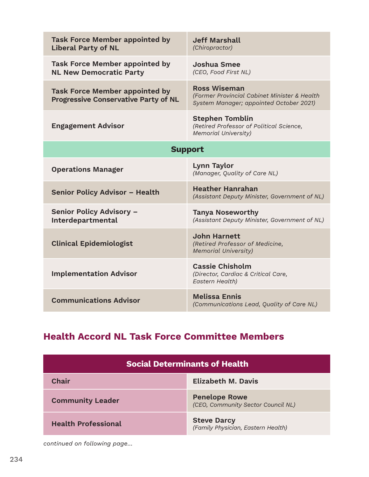| <b>Task Force Member appointed by</b><br><b>Liberal Party of NL</b>                  | <b>Jeff Marshall</b><br>(Chiropractor)                                                                         |
|--------------------------------------------------------------------------------------|----------------------------------------------------------------------------------------------------------------|
| <b>Task Force Member appointed by</b><br><b>NL New Democratic Party</b>              | Joshua Smee<br>(CEO, Food First NL)                                                                            |
| <b>Task Force Member appointed by</b><br><b>Progressive Conservative Party of NL</b> | <b>Ross Wiseman</b><br>(Former Provincial Cabinet Minister & Health<br>System Manager; appointed October 2021) |
| <b>Engagement Advisor</b>                                                            | <b>Stephen Tomblin</b><br>(Retired Professor of Political Science,<br><b>Memorial University)</b>              |
| <b>Support</b>                                                                       |                                                                                                                |
| <b>Operations Manager</b>                                                            | <b>Lynn Taylor</b><br>(Manager, Quality of Care NL)                                                            |
| <b>Senior Policy Advisor - Health</b>                                                | <b>Heather Hanrahan</b><br>(Assistant Deputy Minister, Government of NL)                                       |
| Senior Policy Advisory -<br>Interdepartmental                                        | <b>Tanya Noseworthy</b><br>(Assistant Deputy Minister, Government of NL)                                       |
| <b>Clinical Epidemiologist</b>                                                       | <b>John Harnett</b><br>(Retired Professor of Medicine,<br><b>Memorial University)</b>                          |
| <b>Implementation Advisor</b>                                                        | <b>Cassie Chisholm</b><br>(Director, Cardiac & Critical Care,<br>Eastern Health)                               |
| <b>Communications Advisor</b>                                                        | <b>Melissa Ennis</b><br>(Communications Lead, Quality of Care NL)                                              |

## Health Accord NL Task Force Committee Members

| <b>Social Determinants of Health</b> |                                                            |
|--------------------------------------|------------------------------------------------------------|
| Chair                                | <b>Elizabeth M. Davis</b>                                  |
| <b>Community Leader</b>              | <b>Penelope Rowe</b><br>(CEO, Community Sector Council NL) |
| <b>Health Professional</b>           | <b>Steve Darcy</b><br>(Family Physician, Eastern Health)   |

*continued on following page…*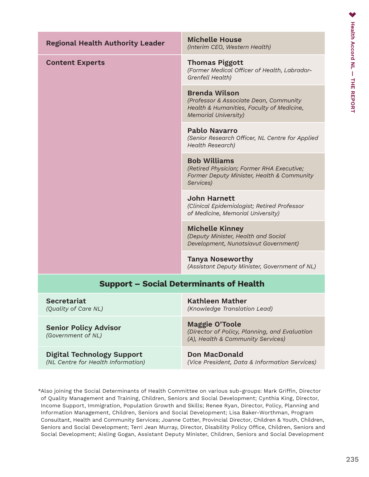| <b>Regional Health Authority Leader</b>                                 | <b>Michelle House</b><br>(Interim CEO, Western Health)                                                                                     |
|-------------------------------------------------------------------------|--------------------------------------------------------------------------------------------------------------------------------------------|
| <b>Content Experts</b>                                                  | <b>Thomas Piggott</b><br>(Former Medical Officer of Health, Labrador-<br>Grenfell Health)                                                  |
|                                                                         | <b>Brenda Wilson</b><br>(Professor & Associate Dean, Community<br>Health & Humanities, Faculty of Medicine,<br><b>Memorial University)</b> |
|                                                                         | <b>Pablo Navarro</b><br>(Senior Research Officer, NL Centre for Applied<br><b>Health Research)</b>                                         |
|                                                                         | <b>Bob Williams</b><br>(Retired Physician; Former RHA Executive;<br>Former Deputy Minister, Health & Community<br>Services)                |
|                                                                         | <b>John Harnett</b><br>(Clinical Epidemiologist; Retired Professor<br>of Medicine, Memorial University)                                    |
|                                                                         | <b>Michelle Kinney</b><br>(Deputy Minister, Health and Social<br>Development, Nunatsiavut Government)                                      |
|                                                                         | <b>Tanya Noseworthy</b><br>(Assistant Deputy Minister, Government of NL)                                                                   |
| <b>Support - Social Determinants of Health</b>                          |                                                                                                                                            |
| Secretariat<br>(Quality of Care NL)                                     | <b>Kathleen Mather</b><br>(Knowledge Translation Lead)                                                                                     |
| <b>Senior Policy Advisor</b><br>(Government of NL)                      | <b>Maggie O'Toole</b><br>(Director of Policy, Planning, and Evaluation<br>(A), Health & Community Services)                                |
| <b>Digital Technology Support</b><br>(NL Centre for Health Information) | <b>Don MacDonald</b><br>(Vice President, Data & Information Services)                                                                      |

\*Also joining the Social Determinants of Health Committee on various sub-groups: Mark Griffin, Director of Quality Management and Training, Children, Seniors and Social Development; Cynthia King, Director, Income Support, Immigration, Population Growth and Skills; Renee Ryan, Director, Policy, Planning and Information Management, Children, Seniors and Social Development; Lisa Baker-Worthman, Program Consultant, Health and Community Services; Joanne Cotter, Provincial Director, Children & Youth, Children, Seniors and Social Development; Terri Jean Murray, Director, Disability Policy Office, Children, Seniors and Social Development; Aisling Gogan, Assistant Deputy Minister, Children, Seniors and Social Development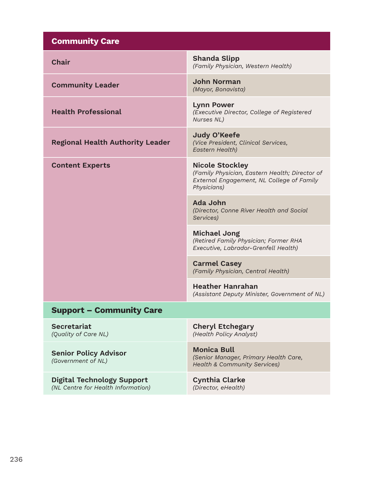| <b>Community Care</b>                                                   |                                                                                                                                      |
|-------------------------------------------------------------------------|--------------------------------------------------------------------------------------------------------------------------------------|
| <b>Chair</b>                                                            | <b>Shanda Slipp</b><br>(Family Physician, Western Health)                                                                            |
| <b>Community Leader</b>                                                 | <b>John Norman</b><br>(Mayor, Bonavista)                                                                                             |
| <b>Health Professional</b>                                              | <b>Lynn Power</b><br>(Executive Director, College of Registered<br>Nurses NL)                                                        |
| <b>Regional Health Authority Leader</b>                                 | Judy O'Keefe<br>(Vice President, Clinical Services,<br><b>Eastern Health)</b>                                                        |
| <b>Content Experts</b>                                                  | <b>Nicole Stockley</b><br>(Family Physician, Eastern Health; Director of<br>External Engagement, NL College of Family<br>Physicians) |
|                                                                         | Ada John<br>(Director, Conne River Health and Social<br>Services)                                                                    |
|                                                                         | <b>Michael Jong</b><br>(Retired Family Physician; Former RHA<br>Executive, Labrador-Grenfell Health)                                 |
|                                                                         | <b>Carmel Casey</b><br>(Family Physician, Central Health)                                                                            |
|                                                                         | <b>Heather Hanrahan</b><br>(Assistant Deputy Minister, Government of NL)                                                             |
| <b>Support - Community Care</b>                                         |                                                                                                                                      |
| <b>Secretariat</b><br>(Quality of Care NL)                              | <b>Cheryl Etchegary</b><br>(Health Policy Analyst)                                                                                   |
| <b>Senior Policy Advisor</b><br>(Government of NL)                      | <b>Monica Bull</b><br>(Senior Manager, Primary Health Care,<br><b>Health &amp; Community Services)</b>                               |
| <b>Digital Technology Support</b><br>(NL Centre for Health Information) | <b>Cynthia Clarke</b><br>(Director, eHealth)                                                                                         |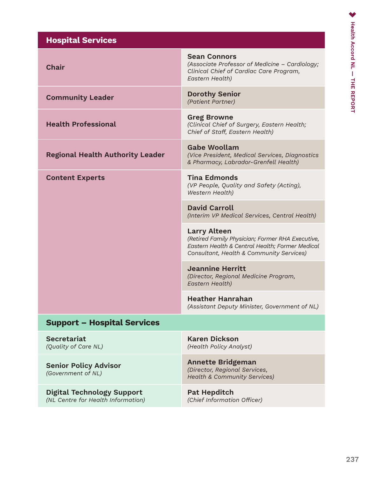| <b>Hospital Services</b>                                                |                                                                                                                                                                        |
|-------------------------------------------------------------------------|------------------------------------------------------------------------------------------------------------------------------------------------------------------------|
| <b>Chair</b>                                                            | <b>Sean Connors</b><br>(Associate Professor of Medicine - Cardiology;<br>Clinical Chief of Cardiac Care Program,<br>Eastern Health)                                    |
| <b>Community Leader</b>                                                 | <b>Dorothy Senior</b><br>(Patient Partner)                                                                                                                             |
| <b>Health Professional</b>                                              | <b>Greg Browne</b><br>(Clinical Chief of Surgery, Eastern Health;<br>Chief of Staff, Eastern Health)                                                                   |
| <b>Regional Health Authority Leader</b>                                 | <b>Gabe Woollam</b><br>(Vice President, Medical Services, Diagnostics<br>& Pharmacy, Labrador-Grenfell Health)                                                         |
| <b>Content Experts</b>                                                  | <b>Tina Edmonds</b><br>(VP People, Quality and Safety (Acting),<br>Western Health)                                                                                     |
|                                                                         | <b>David Carroll</b><br>(Interim VP Medical Services, Central Health)                                                                                                  |
|                                                                         | <b>Larry Alteen</b><br>(Retired Family Physician; Former RHA Executive,<br>Eastern Health & Central Health; Former Medical<br>Consultant, Health & Community Services) |
|                                                                         | <b>Jeannine Herritt</b><br>(Director, Regional Medicine Program,<br>Eastern Health)                                                                                    |
|                                                                         | <b>Heather Hanrahan</b><br>(Assistant Deputy Minister, Government of NL)                                                                                               |
| <b>Support - Hospital Services</b>                                      |                                                                                                                                                                        |
| <b>Secretariat</b><br>(Quality of Care NL)                              | <b>Karen Dickson</b><br>(Health Policy Analyst)                                                                                                                        |
| <b>Senior Policy Advisor</b><br>(Government of NL)                      | <b>Annette Bridgeman</b><br>(Director, Regional Services,<br><b>Health &amp; Community Services)</b>                                                                   |
| <b>Digital Technology Support</b><br>(NL Centre for Health Information) | <b>Pat Hepditch</b><br>(Chief Information Officer)                                                                                                                     |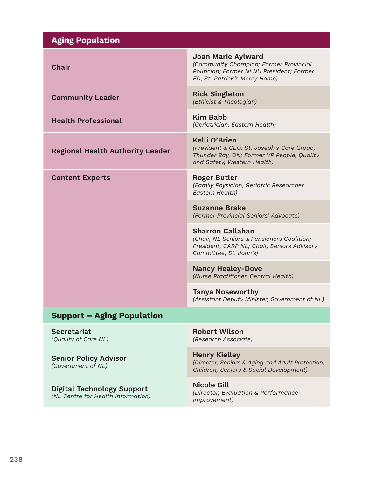| <b>Aging Population</b>                                                 |                                                                                                                                                   |
|-------------------------------------------------------------------------|---------------------------------------------------------------------------------------------------------------------------------------------------|
| <b>Chair</b>                                                            | <b>Joan Marie Aylward</b><br>(Community Champion; Former Provincial<br>Politician; Former NLNU President; Former<br>ED, St. Patrick's Mercy Home) |
| <b>Community Leader</b>                                                 | <b>Rick Singleton</b><br>(Ethicist & Theologian)                                                                                                  |
| <b>Health Professional</b>                                              | <b>Kim Babb</b><br>(Geriatrician, Eastern Health)                                                                                                 |
| <b>Regional Health Authority Leader</b>                                 | Kelli O'Brien<br>(President & CEO, St. Joseph's Care Group,<br>Thunder Bay, ON; Former VP People, Quality<br>and Safety, Western Health)          |
| <b>Content Experts</b>                                                  | <b>Roger Butler</b><br>(Family Physician, Geriatric Researcher,<br>Eastern Health)                                                                |
|                                                                         | <b>Suzanne Brake</b><br>(Former Provincial Seniors' Advocate)                                                                                     |
|                                                                         | <b>Sharron Callahan</b><br>(Chair, NL Seniors & Pensioners Coalition;<br>President, CARP NL; Chair, Seniors Advisory<br>Committee, St. John's)    |
|                                                                         | <b>Nancy Healey-Dove</b><br>(Nurse Practitioner, Central Health)                                                                                  |
|                                                                         | <b>Tanya Noseworthy</b><br>(Assistant Deputy Minister, Government of NL)                                                                          |
| <b>Support - Aging Population</b>                                       |                                                                                                                                                   |
| <b>Secretariat</b><br>(Quality of Care NL)                              | <b>Robert Wilson</b><br>(Research Associate)                                                                                                      |
| <b>Senior Policy Advisor</b><br>(Government of NL)                      | <b>Henry Kielley</b><br>(Director, Seniors & Aging and Adult Protection,<br>Children, Seniors & Social Development)                               |
| <b>Digital Technology Support</b><br>(NL Centre for Health Information) | <b>Nicole Gill</b><br>(Director, Evaluation & Performance<br>Improvement)                                                                         |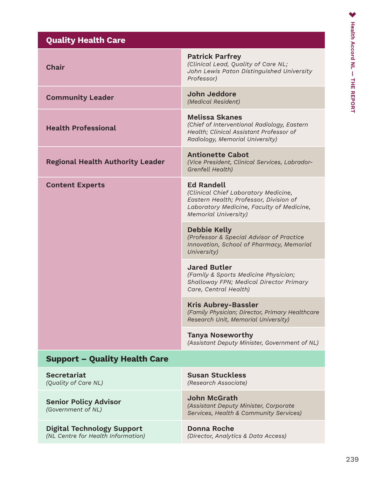| <b>Quality Health Care</b>                                              |                                                                                                                                                                                 |
|-------------------------------------------------------------------------|---------------------------------------------------------------------------------------------------------------------------------------------------------------------------------|
| <b>Chair</b>                                                            | <b>Patrick Parfrey</b><br>(Clinical Lead, Quality of Care NL;<br>John Lewis Paton Distinguished University<br>Professor)                                                        |
| <b>Community Leader</b>                                                 | John Jeddore<br>(Medical Resident)                                                                                                                                              |
| <b>Health Professional</b>                                              | <b>Melissa Skanes</b><br>(Chief of Interventional Radiology, Eastern<br>Health; Clinical Assistant Professor of<br>Radiology, Memorial University)                              |
| <b>Regional Health Authority Leader</b>                                 | <b>Antionette Cabot</b><br>(Vice President, Clinical Services, Labrador-<br>Grenfell Health)                                                                                    |
| <b>Content Experts</b>                                                  | <b>Ed Randell</b><br>(Clinical Chief Laboratory Medicine,<br>Eastern Health; Professor, Division of<br>Laboratory Medicine, Faculty of Medicine,<br><b>Memorial University)</b> |
|                                                                         | <b>Debbie Kelly</b><br>(Professor & Special Advisor of Practice<br>Innovation, School of Pharmacy, Memorial<br>University)                                                      |
|                                                                         | <b>Jared Butler</b><br>(Family & Sports Medicine Physician;<br>Shalloway FPN; Medical Director Primary<br>Care, Central Health)                                                 |
|                                                                         | <b>Kris Aubrey-Bassler</b><br>(Family Physician; Director, Primary Healthcare<br>Research Unit, Memorial University)                                                            |
|                                                                         | <b>Tanya Noseworthy</b><br>(Assistant Deputy Minister, Government of NL)                                                                                                        |
| <b>Support – Quality Health Care</b>                                    |                                                                                                                                                                                 |
| <b>Secretariat</b><br>(Quality of Care NL)                              | <b>Susan Stuckless</b><br>(Research Associate)                                                                                                                                  |
| <b>Senior Policy Advisor</b><br>(Government of NL)                      | <b>John McGrath</b><br>(Assistant Deputy Minister, Corporate<br>Services, Health & Community Services)                                                                          |
| <b>Digital Technology Support</b><br>(NL Centre for Health Information) | <b>Donna Roche</b><br>(Director, Analytics & Data Access)                                                                                                                       |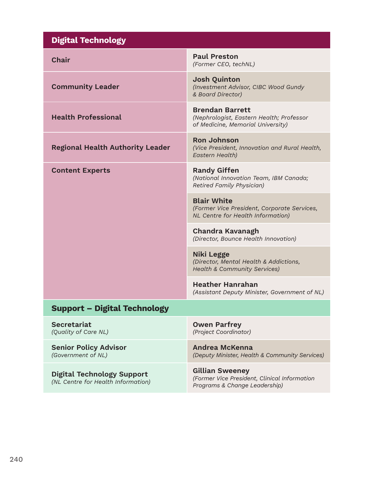| <b>Digital Technology</b>                                               |                                                                                                               |
|-------------------------------------------------------------------------|---------------------------------------------------------------------------------------------------------------|
| <b>Chair</b>                                                            | <b>Paul Preston</b><br>(Former CEO, techNL)                                                                   |
| <b>Community Leader</b>                                                 | <b>Josh Quinton</b><br>(Investment Advisor, CIBC Wood Gundy<br>& Board Director)                              |
| <b>Health Professional</b>                                              | <b>Brendan Barrett</b><br>(Nephrologist, Eastern Health; Professor<br>of Medicine, Memorial University)       |
| <b>Regional Health Authority Leader</b>                                 | <b>Ron Johnson</b><br>(Vice President, Innovation and Rural Health,<br>Eastern Health)                        |
| <b>Content Experts</b>                                                  | <b>Randy Giffen</b><br>(National Innovation Team, IBM Canada;<br><b>Retired Family Physician)</b>             |
|                                                                         | <b>Blair White</b><br>(Former Vice President, Corporate Services,<br><b>NL Centre for Health Information)</b> |
|                                                                         | Chandra Kavanagh<br>(Director, Bounce Health Innovation)                                                      |
|                                                                         | Niki Legge<br>(Director, Mental Health & Addictions,<br><b>Health &amp; Community Services)</b>               |
|                                                                         | <b>Heather Hanrahan</b><br>(Assistant Deputy Minister, Government of NL)                                      |
| <b>Support - Digital Technology</b>                                     |                                                                                                               |
| <b>Secretariat</b><br>(Quality of Care NL)                              | <b>Owen Parfrey</b><br>(Project Coordinator)                                                                  |
| <b>Senior Policy Advisor</b><br>(Government of NL)                      | <b>Andrea McKenna</b><br>(Deputy Minister, Health & Community Services)                                       |
| <b>Digital Technology Support</b><br>(NL Centre for Health Information) | <b>Gillian Sweeney</b><br>(Former Vice President, Clinical Information<br>Programs & Change Leadership)       |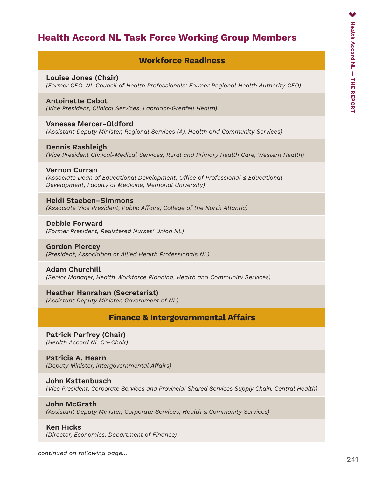## Health Accord NL Task Force Working Group Members

#### Workforce Readiness

#### Louise Jones (Chair)

*(Former CEO, NL Council of Health Professionals; Former Regional Health Authority CEO)*

#### Antoinette Cabot

*(Vice President, Clinical Services, Labrador-Grenfell Health)* 

#### Vanessa Mercer-Oldford

*(Assistant Deputy Minister, Regional Services (A), Health and Community Services)*

#### Dennis Rashleigh *(Vice President Clinical-Medical Services, Rural and Primary Health Care, Western Health)*

#### Vernon Curran

*(Associate Dean of Educational Development, Office of Professional & Educational Development, Faculty of Medicine, Memorial University)*

#### Heidi Staeben–Simmons

*(Associate Vice President, Public Affairs, College of the North Atlantic)*

#### Debbie Forward *(Former President, Registered Nurses' Union NL)*

#### Gordon Piercey *(President, Association of Allied Health Professionals NL)*

#### Adam Churchill *(Senior Manager, Health Workforce Planning, Health and Community Services)*

#### Heather Hanrahan (Secretariat) *(Assistant Deputy Minister, Government of NL)*

#### Finance & Intergovernmental Affairs

#### Patrick Parfrey (Chair) *(Health Accord NL Co-Chair)*

#### Patricia A. Hearn *(Deputy Minister, Intergovernmental Affairs)*

#### John Kattenbusch *(Vice President, Corporate Services and Provincial Shared Services Supply Chain, Central Health)*

#### John McGrath

*(Assistant Deputy Minister, Corporate Services, Health & Community Services)*

#### Ken Hicks

*(Director, Economics, Department of Finance)*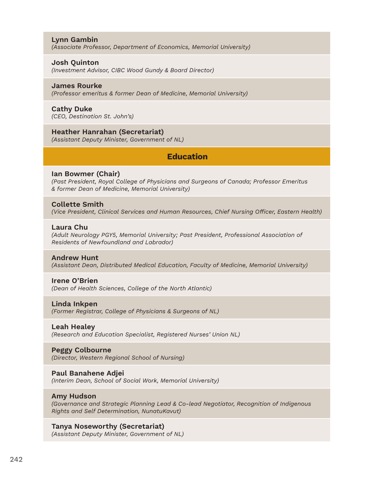#### Lynn Gambin

*(Associate Professor, Department of Economics, Memorial University)*

#### Josh Quinton

*(Investment Advisor, CIBC Wood Gundy & Board Director)*

#### James Rourke

*(Professor emeritus & former Dean of Medicine, Memorial University)*

#### Cathy Duke

*(CEO, Destination St. John's)*

#### Heather Hanrahan (Secretariat)

*(Assistant Deputy Minister, Government of NL)*

### Education

#### Ian Bowmer (Chair)

*(Past President, Royal College of Physicians and Surgeons of Canada; Professor Emeritus & former Dean of Medicine, Memorial University)*

#### Collette Smith

*(Vice President, Clinical Services and Human Resources, Chief Nursing Officer, Eastern Health)*

#### Laura Chu

*(Adult Neurology PGY5, Memorial University; Past President, Professional Association of Residents of Newfoundland and Labrador)*

#### Andrew Hunt

*(Assistant Dean, Distributed Medical Education, Faculty of Medicine, Memorial University)*

#### Irene O'Brien

*(Dean of Health Sciences, College of the North Atlantic)*

#### Linda Inkpen

*(Former Registrar, College of Physicians & Surgeons of NL)*

#### Leah Healey

*(Research and Education Specialist, Registered Nurses' Union NL)*

#### Peggy Colbourne

*(Director, Western Regional School of Nursing)*

#### Paul Banahene Adjei

*(Interim Dean, School of Social Work, Memorial University)*

#### Amy Hudson

*(Governance and Strategic Planning Lead & Co-lead Negotiator, Recognition of Indigenous Rights and Self Determination, NunatuKavut)*

#### Tanya Noseworthy (Secretariat)

*(Assistant Deputy Minister, Government of NL)*